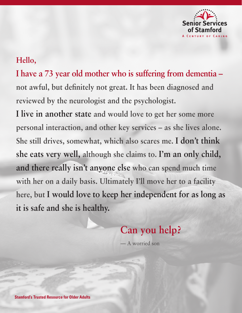

## **Hello,**

**I have a 73 year old mother who is suffering from dementia – not awful, but definitely not great. It has been diagnosed and reviewed by the neurologist and the psychologist.** 

**I live in another state and would love to get her some more personal interaction, and other key services – as she lives alone. She still drives, somewhat, which also scares me. I don't think she eats very well, although she claims to. I'm an only child, and there really isn't anyone else who can spend much time with her on a daily basis. Ultimately I'll move her to a facility here, but I would love to keep her independent for as long as it is safe and she is healthy.**

# **Can you help?**

— A worried son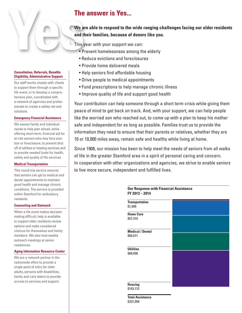## **The answer is Yes...**

### **We are able to respond to the wide ranging challenges facing our older residents and their families, because of donors like you.**

This year with your support we can:

- Prevent homelessness among the elderly
- Reduce evictions and foreclosures
- Provide home delivered meals
- Help seniors find affordable housing
- Drive people to medical appointments
- Fund prescriptions to help manage chronic illness
- Improve quality of life and support good health

Your contribution can help someone through a short term crisis while giving them peace of mind to get back on track. And, with your support, we can help people like the worried son who reached out, to come up with a plan to keep his mother safe and independent for as long as possible. Families trust us to provide the information they need to ensure that their parents or relatives, whether they are 10 or 10,000 miles away, remain safe and healthy while living at home.

Since 1908, our mission has been to help meet the needs of seniors from all walks of life in the greater Stamford area in a spirit of personal caring and concern. In cooperation with other organizations and agencies, we strive to enable seniors to live more secure, independent and fulfilled lives.

**FY 2013 – 2014**

**Our Response with Financial Assistance** 

## **Transportation \$1,999 Home Care \$57,319 Medical / Dental \$66,611 Utilities \$68,958 Housing \$143,112**

**Total Assistance \$337,999**

### **Consultation, Referrals, Benefits Eligibility, Administrative Support**

Our staff works closely with clients to support them through a specific life event, or to develop a comprehensive plan, coordinated with a network of agencies and professionals to create a safety net and solutions.

### **Emergency Financial Assistance**

We assess family and individual needs to help plan ahead, while offering short-term, financial aid for at-risk seniors who may face eviction or foreclosure; to prevent shut off of utilities or heating services and to provide needed funds for health, safety and quality of life services.

### **Medical Transportation**

This round-trip service ensures that seniors can get to medical and dental appointments to maintain good health and manage chronic conditions. The service is provided within Stamford for ambulatory residents.

### **Counseling and Outreach**

When a life event makes decision making difficult, help is available to support older residents review options and make considered choices for themselves and family members. We also host weekly outreach meetings at senior residences.

### **Aging Information Resource Center**

We are a network partner in the nationwide effort to provide a single point of entry for older adults, persons with disabilities, family and care takers to provide access to services and support.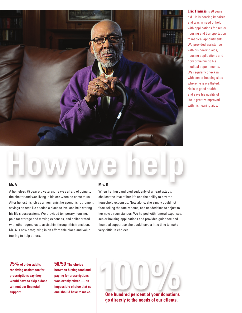

**Eric Francis** is 90 years old. He is hearing impaired and was in need of help with applications for senior housing and transportation to medical appointments. We provided assistance with his hearing aids, housing applications and now drive him to his medical appointments. We regularly check in with senior housing sites where he is waitlisted. He is in good health, and says his quality of life is greatly improved with his hearing aids.

### **Mr. A**

A homeless 75 year old veteran, he was afraid of going to the shelter and was living in his car when he came to us. After he lost his job as a mechanic, he spent his retirement savings on rent. He needed a place to live, and help storing his life's possessions. We provided temporary housing, paid for storage and moving expenses, and collaborated with other agencies to assist him through this transition. Mr. A is now safe; living in an affordable place and volunteering to help others.

### **Mrs. B**

When her husband died suddenly of a heart attack, she lost the love of her life and the ability to pay the household expenses. Now alone, she simply could not face selling the family home, and needed time to adjust to her new circumstances. We helped with funeral expenses, senior housing applications and provided guidance and financial support so she could have a little time to make very difficult choices.

**75% of older adults receiving assistance for prescriptions say they would have to skip a dose without our financial support.**

**50/50 The choice between buying food and paying for prescriptions was evenly mixed — an impossible choice that no one should have to make.** 



**One hundred percent of your donations go directly to the needs of our clients.**